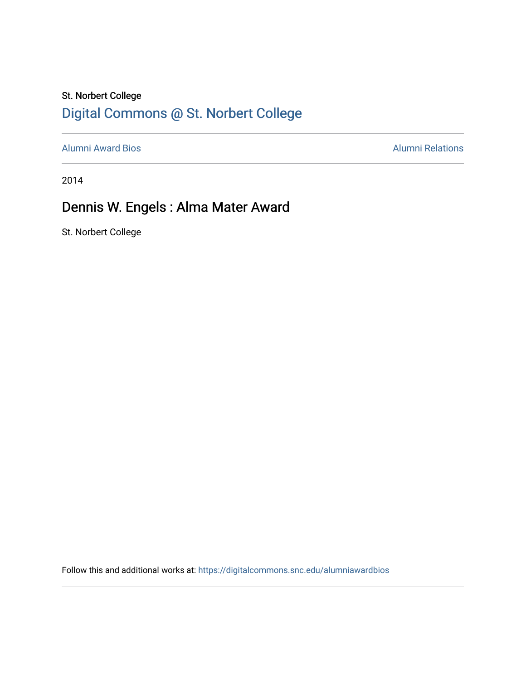## St. Norbert College [Digital Commons @ St. Norbert College](https://digitalcommons.snc.edu/)

[Alumni Award Bios](https://digitalcommons.snc.edu/alumniawardbios) **Alumni Relations** Alumni Relations

2014

# Dennis W. Engels : Alma Mater Award

St. Norbert College

Follow this and additional works at: [https://digitalcommons.snc.edu/alumniawardbios](https://digitalcommons.snc.edu/alumniawardbios?utm_source=digitalcommons.snc.edu%2Falumniawardbios%2F46&utm_medium=PDF&utm_campaign=PDFCoverPages)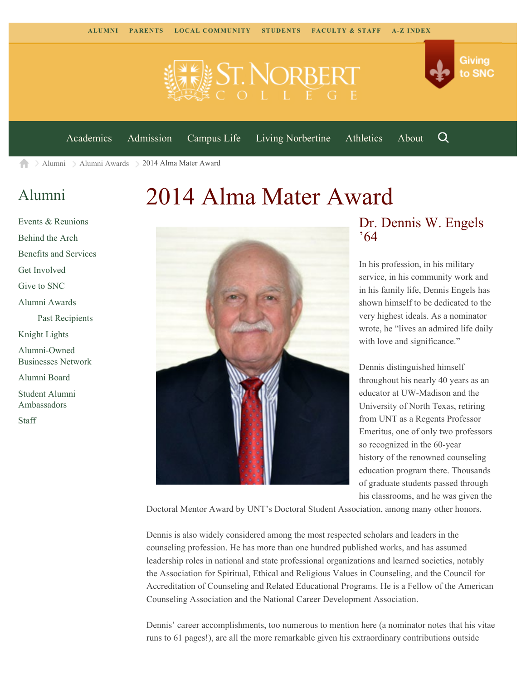



[Academics](https://www.snc.edu/academics) [Admission](https://www.snc.edu/admission) [Campus Life](https://www.snc.edu/campuslife) [Living Norbertine](https://www.snc.edu/livingnorbertine) [Athletics](https://www.snc.edu/athletics) [About](https://www.snc.edu/about)

Q

Giving

to SNC

[Alumni](https://www.snc.edu/alumni/) [Alumni Awards](https://www.snc.edu/alumni/awards/) 2014 Alma Mater Award 合

## [Alumni](https://www.snc.edu/alumni/index.html)

[Events & Reunions](https://www.snc.edu/alumni/event/index.html) [Behind the Arch](https://www.snc.edu/alumni/event/behindthearch/) [Benefits and Services](https://www.snc.edu/alumni/benefits.html) [Get Involved](https://www.snc.edu/alumni/getinvolved.html) [Give to SNC](http://giving.snc.edu/) [Alumni Awards](https://www.snc.edu/alumni/awards/index.html) [Past Recipients](https://www.snc.edu/alumni/awards/recipients.html) [Knight Lights](https://www.snc.edu/alumni/knightlights/index.html) [Alumni-Owned](https://www.snc.edu/alumni/directory/index.html) [Businesses Network](https://www.snc.edu/alumni/directory/index.html) [Alumni Board](https://www.snc.edu/alumni/alumniboard.html) [Student Alumni](https://www.snc.edu/alumni/saa.html) [Ambassadors](https://www.snc.edu/alumni/saa.html) [Staff](https://www.snc.edu/alumni/contactus.html)

# 2014 Alma Mater Award



#### Dr. Dennis W. Engels '64

In his profession, in his military service, in his community work and in his family life, Dennis Engels has shown himself to be dedicated to the very highest ideals. As a nominator wrote, he "lives an admired life daily with love and significance."

Dennis distinguished himself throughout his nearly 40 years as an educator at UW-Madison and the University of North Texas, retiring from UNT as a Regents Professor Emeritus, one of only two professors so recognized in the 60-year history of the renowned counseling education program there. Thousands of graduate students passed through his classrooms, and he was given the

Doctoral Mentor Award by UNT's Doctoral Student Association, among many other honors.

Dennis is also widely considered among the most respected scholars and leaders in the counseling profession. He has more than one hundred published works, and has assumed leadership roles in national and state professional organizations and learned societies, notably the Association for Spiritual, Ethical and Religious Values in Counseling, and the Council for Accreditation of Counseling and Related Educational Programs. He is a Fellow of the American Counseling Association and the National Career Development Association.

Dennis' career accomplishments, too numerous to mention here (a nominator notes that his vitae runs to 61 pages!), are all the more remarkable given his extraordinary contributions outside